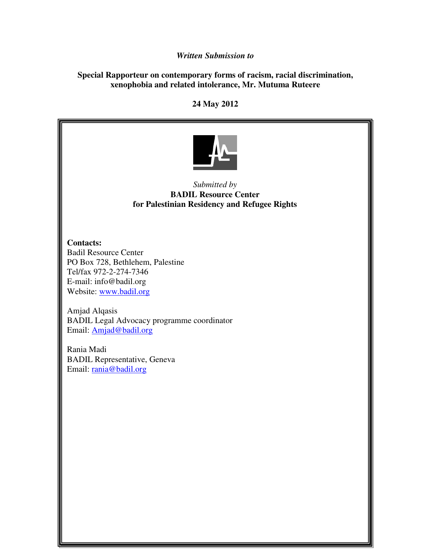## *Written Submission to*

## **Special Rapporteur on contemporary forms of racism, racial discrimination, xenophobia and related intolerance, Mr. Mutuma Ruteere**

**24 May 2012** 



## *Submitted by*  **BADIL Resource Center for Palestinian Residency and Refugee Rights**

**Contacts:**  Badil Resource Center PO Box 728, Bethlehem, Palestine Tel/fax 972-2-274-7346 E-mail: info@badil.org Website: www.badil.org

Amjad Alqasis BADIL Legal Advocacy programme coordinator Email: Amjad@badil.org

Rania Madi BADIL Representative, Geneva Email: rania@badil.org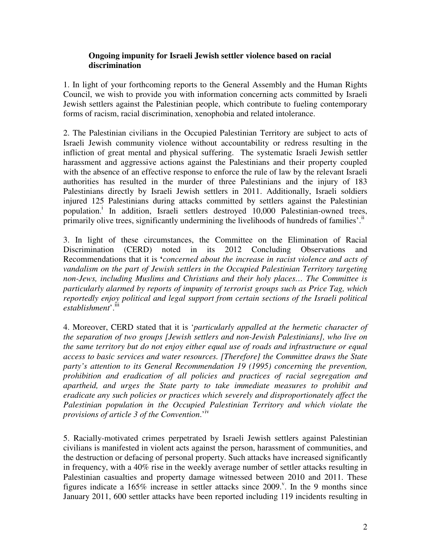## **Ongoing impunity for Israeli Jewish settler violence based on racial discrimination**

1. In light of your forthcoming reports to the General Assembly and the Human Rights Council, we wish to provide you with information concerning acts committed by Israeli Jewish settlers against the Palestinian people, which contribute to fueling contemporary forms of racism, racial discrimination, xenophobia and related intolerance.

2. The Palestinian civilians in the Occupied Palestinian Territory are subject to acts of Israeli Jewish community violence without accountability or redress resulting in the infliction of great mental and physical suffering. The systematic Israeli Jewish settler harassment and aggressive actions against the Palestinians and their property coupled with the absence of an effective response to enforce the rule of law by the relevant Israeli authorities has resulted in the murder of three Palestinians and the injury of 183 Palestinians directly by Israeli Jewish settlers in 2011. Additionally, Israeli soldiers injured 125 Palestinians during attacks committed by settlers against the Palestinian population.<sup>i</sup> In addition, Israeli settlers destroyed 10,000 Palestinian-owned trees, primarily olive trees, significantly undermining the livelihoods of hundreds of families'.<sup>ii</sup>

3. In light of these circumstances, the Committee on the Elimination of Racial Discrimination (CERD) noted in its 2012 Concluding Observations and Recommendations that it is **'***concerned about the increase in racist violence and acts of vandalism on the part of Jewish settlers in the Occupied Palestinian Territory targeting non-Jews, including Muslims and Christians and their holy places… The Committee is particularly alarmed by reports of impunity of terrorist groups such as Price Tag, which reportedly enjoy political and legal support from certain sections of the Israeli political*  establishment<sup>'.iii</sup>

4. Moreover, CERD stated that it is '*particularly appalled at the hermetic character of the separation of two groups [Jewish settlers and non-Jewish Palestinians], who live on the same territory but do not enjoy either equal use of roads and infrastructure or equal access to basic services and water resources. [Therefore] the Committee draws the State party's attention to its General Recommendation 19 (1995) concerning the prevention, prohibition and eradication of all policies and practices of racial segregation and apartheid, and urges the State party to take immediate measures to prohibit and eradicate any such policies or practices which severely and disproportionately affect the Palestinian population in the Occupied Palestinian Territory and which violate the provisions of article 3 of the Convention*.'iv

5. Racially-motivated crimes perpetrated by Israeli Jewish settlers against Palestinian civilians is manifested in violent acts against the person, harassment of communities, and the destruction or defacing of personal property. Such attacks have increased significantly in frequency, with a 40% rise in the weekly average number of settler attacks resulting in Palestinian casualties and property damage witnessed between 2010 and 2011. These figures indicate a 165% increase in settler attacks since  $2009$ .<sup>V</sup>. In the 9 months since January 2011, 600 settler attacks have been reported including 119 incidents resulting in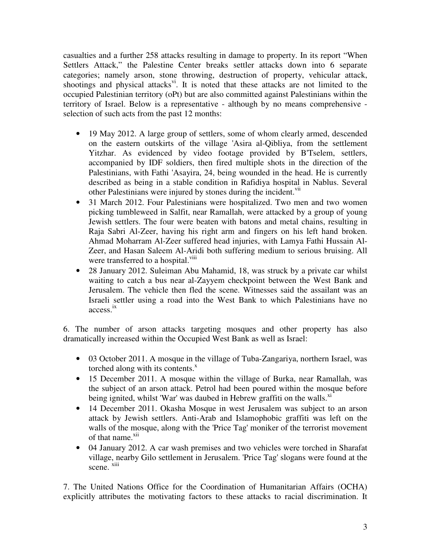casualties and a further 258 attacks resulting in damage to property. In its report "When Settlers Attack," the Palestine Center breaks settler attacks down into 6 separate categories; namely arson, stone throwing, destruction of property, vehicular attack, shootings and physical attacks<sup>vi</sup>. It is noted that these attacks are not limited to the occupied Palestinian territory (oPt) but are also committed against Palestinians within the territory of Israel. Below is a representative - although by no means comprehensive selection of such acts from the past 12 months:

- 19 May 2012. A large group of settlers, some of whom clearly armed, descended on the eastern outskirts of the village 'Asira al-Qibliya, from the settlement Yitzhar. As evidenced by video footage provided by B'Tselem, settlers, accompanied by IDF soldiers, then fired multiple shots in the direction of the Palestinians, with Fathi 'Asayira, 24, being wounded in the head. He is currently described as being in a stable condition in Rafidiya hospital in Nablus. Several other Palestinians were injured by stones during the incident.<sup>vii</sup>
- 31 March 2012. Four Palestinians were hospitalized. Two men and two women picking tumbleweed in Salfit, near Ramallah, were attacked by a group of young Jewish settlers. The four were beaten with batons and metal chains, resulting in Raja Sabri Al-Zeer, having his right arm and fingers on his left hand broken. Ahmad Moharram Al-Zeer suffered head injuries, with Lamya Fathi Hussain Al-Zeer, and Hasan Saleem Al-Aridi both suffering medium to serious bruising. All were transferred to a hospital.<sup>viii</sup>
- 28 January 2012. Suleiman Abu Mahamid, 18, was struck by a private car whilst waiting to catch a bus near al-Zayyem checkpoint between the West Bank and Jerusalem. The vehicle then fled the scene. Witnesses said the assailant was an Israeli settler using a road into the West Bank to which Palestinians have no access. ix

6. The number of arson attacks targeting mosques and other property has also dramatically increased within the Occupied West Bank as well as Israel:

- 03 October 2011. A mosque in the village of Tuba-Zangariya, northern Israel, was torched along with its contents. $^x$
- 15 December 2011. A mosque within the village of Burka, near Ramallah, was the subject of an arson attack. Petrol had been poured within the mosque before being ignited, whilst 'War' was daubed in Hebrew graffiti on the walls. $^{x_1}$
- 14 December 2011. Okasha Mosque in west Jerusalem was subject to an arson attack by Jewish settlers. Anti-Arab and Islamophobic graffiti was left on the walls of the mosque, along with the 'Price Tag' moniker of the terrorist movement of that name.<sup>xii</sup>
- 04 January 2012. A car wash premises and two vehicles were torched in Sharafat village, nearby Gilo settlement in Jerusalem. 'Price Tag' slogans were found at the scene. xiii

7. The United Nations Office for the Coordination of Humanitarian Affairs (OCHA) explicitly attributes the motivating factors to these attacks to racial discrimination. It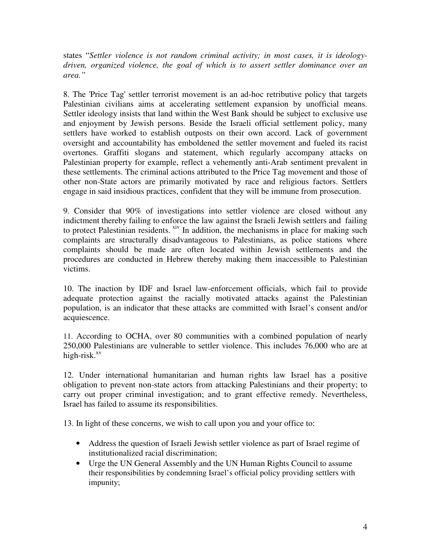states "*Settler violence is not random criminal activity; in most cases, it is ideologydriven, organized violence, the goal of which is to assert settler dominance over an area."*

8. The 'Price Tag' settler terrorist movement is an ad-hoc retributive policy that targets Palestinian civilians aims at accelerating settlement expansion by unofficial means. Settler ideology insists that land within the West Bank should be subject to exclusive use and enjoyment by Jewish persons. Beside the Israeli official settlement policy, many settlers have worked to establish outposts on their own accord. Lack of government oversight and accountability has emboldened the settler movement and fueled its racist overtones. Graffiti slogans and statement, which regularly accompany attacks on Palestinian property for example, reflect a vehemently anti-Arab sentiment prevalent in these settlements. The criminal actions attributed to the Price Tag movement and those of other non-State actors are primarily motivated by race and religious factors. Settlers engage in said insidious practices, confident that they will be immune from prosecution.

9. Consider that 90% of investigations into settler violence are closed without any indictment thereby failing to enforce the law against the Israeli Jewish settlers and failing to protect Palestinian residents. <sup>xiv</sup> In addition, the mechanisms in place for making such complaints are structurally disadvantageous to Palestinians, as police stations where complaints should be made are often located within Jewish settlements and the procedures are conducted in Hebrew thereby making them inaccessible to Palestinian victims.

10. The inaction by IDF and Israel law-enforcement officials, which fail to provide adequate protection against the racially motivated attacks against the Palestinian population, is an indicator that these attacks are committed with Israel's consent and/or acquiescence.

11. According to OCHA, over 80 communities with a combined population of nearly 250,000 Palestinians are vulnerable to settler violence. This includes 76,000 who are at high-risk. $x<sub>v</sub>$ 

12. Under international humanitarian and human rights law Israel has a positive obligation to prevent non-state actors from attacking Palestinians and their property; to carry out proper criminal investigation; and to grant effective remedy. Nevertheless, Israel has failed to assume its responsibilities.

13. In light of these concerns, we wish to call upon you and your office to:

- Address the question of Israeli Jewish settler violence as part of Israel regime of institutionalized racial discrimination;
- Urge the UN General Assembly and the UN Human Rights Council to assume their responsibilities by condemning Israel's official policy providing settlers with impunity;